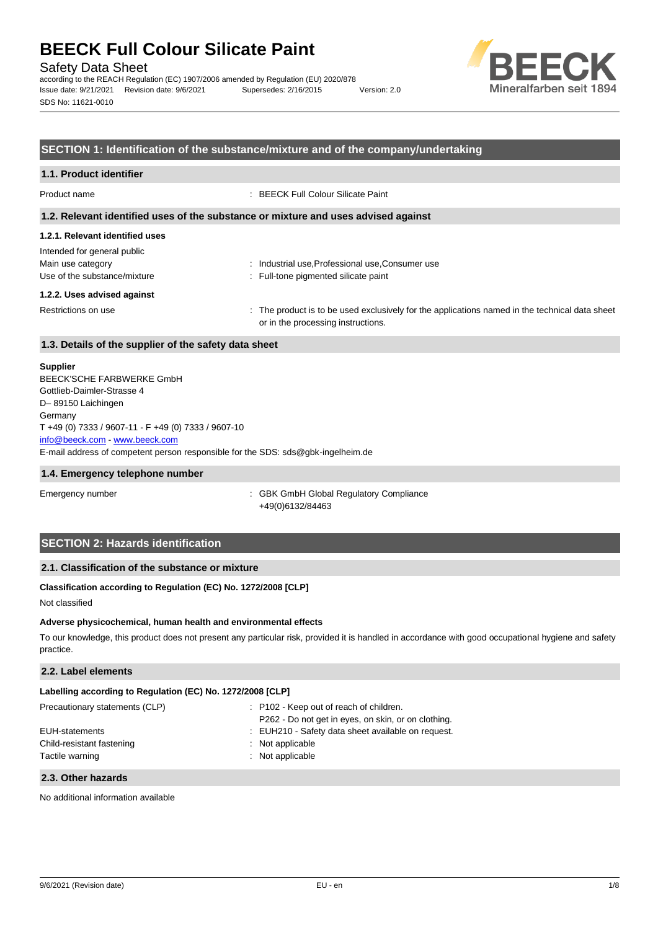Safety Data Sheet

according to the REACH Regulation (EC) 1907/2006 amended by Regulation (EU) 2020/878 Issue date: 9/21/2021 Revision date: 9/6/2021 Supersedes: 2/16/2015 Version: 2.0 SDS No: 11621-0010



## **SECTION 1: Identification of the substance/mixture and of the company/undertaking**

## **1.1. Product identifier**

Product name : BEECK Full Colour Silicate Paint

### **1.2. Relevant identified uses of the substance or mixture and uses advised against**

## **1.2.1. Relevant identified uses**

| Intended for general public  |       |
|------------------------------|-------|
| Main use category            | : Ind |
| Use of the substance/mixture | : Ful |

lustrial use,Professional use,Consumer use II-tone pigmented silicate paint

#### **1.2.2. Uses advised against**

Restrictions on use example of the product is to be used exclusively for the applications named in the technical data sheet or in the processing instructions.

## **1.3. Details of the supplier of the safety data sheet**

## **Supplier**

E-mail address of competent person responsible for the SDS: sds@gbk-ingelheim.de BEECK'SCHE FARBWERKE GmbH Gottlieb-Daimler-Strasse 4 D– 89150 Laichingen Germany T +49 (0) 7333 / 9607-11 - F +49 (0) 7333 / 9607-10 [info@beeck.com](mailto:info@beeck.com) - [www.beeck.com](http://www.beeck.com/)

#### **1.4. Emergency telephone number**

Emergency number **Emergency** number **1996** is GBK GmbH Global Regulatory Compliance +49(0)6132/84463

## **SECTION 2: Hazards identification**

## **2.1. Classification of the substance or mixture**

## **Classification according to Regulation (EC) No. 1272/2008 [CLP]**

Not classified

### **Adverse physicochemical, human health and environmental effects**

To our knowledge, this product does not present any particular risk, provided it is handled in accordance with good occupational hygiene and safety practice.

## **2.2. Label elements**

| Labelling according to Regulation (EC) No. 1272/2008 [CLP] |                                                                                                |
|------------------------------------------------------------|------------------------------------------------------------------------------------------------|
| Precautionary statements (CLP)                             | : P102 - Keep out of reach of children.<br>P262 - Do not get in eyes, on skin, or on clothing. |
| EUH-statements                                             | : EUH210 - Safety data sheet available on request.                                             |
| Child-resistant fastening<br>Tactile warning               | : Not applicable<br>: Not applicable                                                           |

#### **2.3. Other hazards**

No additional information available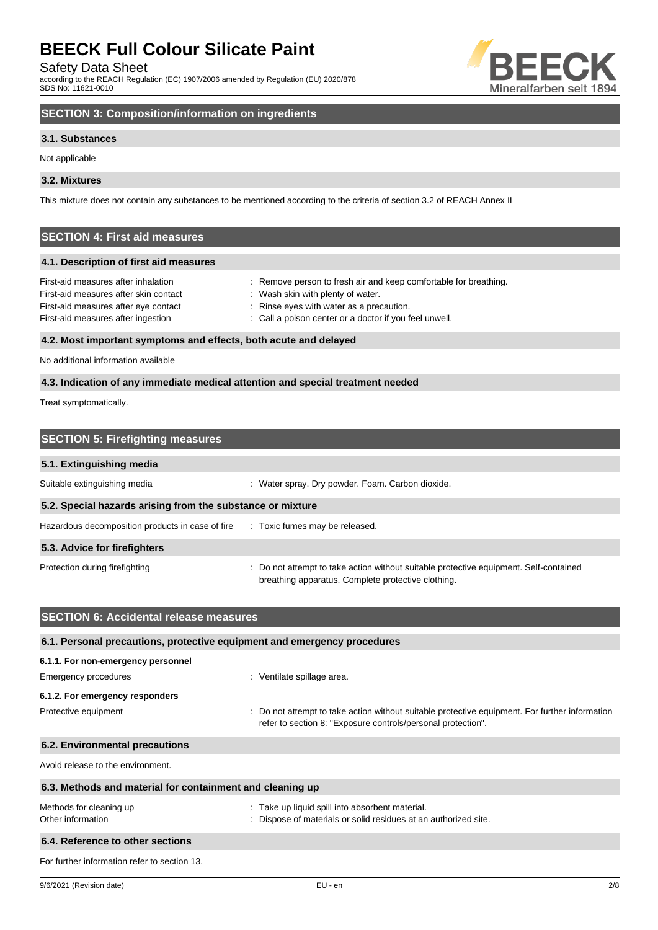Safety Data Sheet

according to the REACH Regulation (EC) 1907/2006 amended by Regulation (EU) 2020/878 SDS No: 11621-0010



## **SECTION 3: Composition/information on ingredients**

## **3.1. Substances**

Not applicable

## **3.2. Mixtures**

This mixture does not contain any substances to be mentioned according to the criteria of section 3.2 of REACH Annex II

## **SECTION 4: First aid measures**

## **4.1. Description of first aid measures**

| First-aid measures after inhalation   | : Remove person to fresh air and keep comfortable for breathing. |
|---------------------------------------|------------------------------------------------------------------|
| First-aid measures after skin contact | : Wash skin with plenty of water.                                |
| First-aid measures after eye contact  | : Rinse eyes with water as a precaution.                         |
| First-aid measures after ingestion    | : Call a poison center or a doctor if you feel unwell.           |
|                                       |                                                                  |

## **4.2. Most important symptoms and effects, both acute and delayed**

No additional information available

## **4.3. Indication of any immediate medical attention and special treatment needed**

Treat symptomatically.

| <b>SECTION 5: Firefighting measures</b>                    |                                                                                                                                             |
|------------------------------------------------------------|---------------------------------------------------------------------------------------------------------------------------------------------|
| 5.1. Extinguishing media                                   |                                                                                                                                             |
| Suitable extinguishing media                               | : Water spray. Dry powder. Foam. Carbon dioxide.                                                                                            |
| 5.2. Special hazards arising from the substance or mixture |                                                                                                                                             |
| Hazardous decomposition products in case of fire           | : Toxic fumes may be released.                                                                                                              |
| 5.3. Advice for firefighters                               |                                                                                                                                             |
| Protection during firefighting                             | : Do not attempt to take action without suitable protective equipment. Self-contained<br>breathing apparatus. Complete protective clothing. |

| <b>SECTION 6: Accidental release measures</b>                            |                                                                                                                                                              |  |
|--------------------------------------------------------------------------|--------------------------------------------------------------------------------------------------------------------------------------------------------------|--|
| 6.1. Personal precautions, protective equipment and emergency procedures |                                                                                                                                                              |  |
| 6.1.1. For non-emergency personnel                                       |                                                                                                                                                              |  |
| Emergency procedures                                                     | : Ventilate spillage area.                                                                                                                                   |  |
| 6.1.2. For emergency responders                                          |                                                                                                                                                              |  |
| Protective equipment                                                     | Do not attempt to take action without suitable protective equipment. For further information<br>refer to section 8: "Exposure controls/personal protection". |  |
| 6.2. Environmental precautions                                           |                                                                                                                                                              |  |
| Avoid release to the environment.                                        |                                                                                                                                                              |  |
| 6.3. Methods and material for containment and cleaning up                |                                                                                                                                                              |  |
| Methods for cleaning up<br>Other information                             | Take up liquid spill into absorbent material.<br>Dispose of materials or solid residues at an authorized site.                                               |  |
| 6.4. Reference to other sections                                         |                                                                                                                                                              |  |
| For further information refer to section 13.                             |                                                                                                                                                              |  |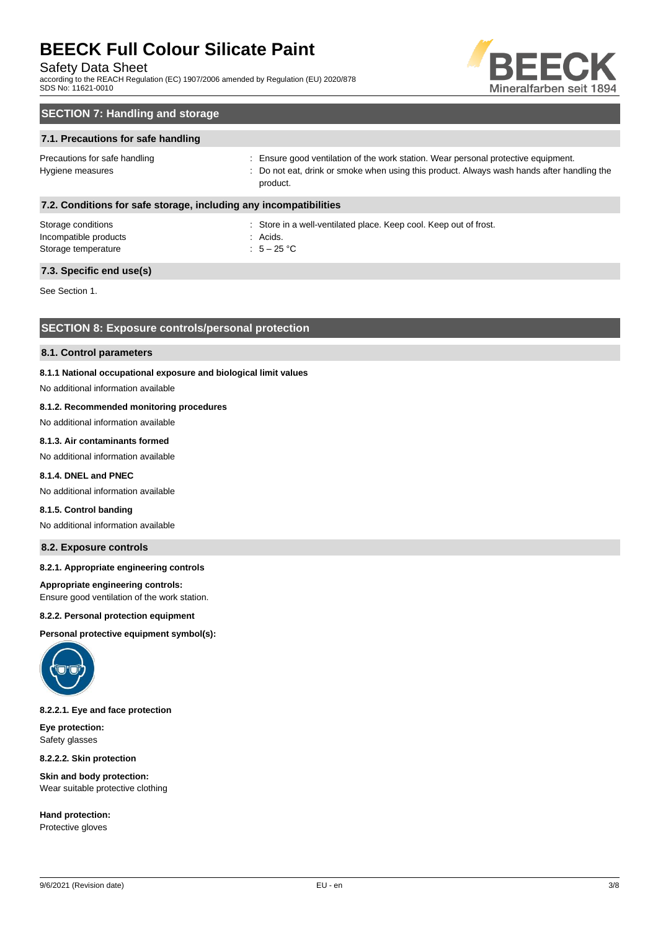## Safety Data Sheet

according to the REACH Regulation (EC) 1907/2006 amended by Regulation (EU) 2020/878 SDS No: 11621-0010



## **SECTION 7: Handling and storage**

## **7.1. Precautions for safe handling**

| Precautions for safe handling | : Ensure good ventilation of the work station. Wear personal protective equipment.                   |
|-------------------------------|------------------------------------------------------------------------------------------------------|
| Hygiene measures              | Do not eat, drink or smoke when using this product. Always wash hands after handling the<br>product. |
|                               |                                                                                                      |

## **7.2. Conditions for safe storage, including any incompatibilities**

Storage conditions **Storage conditions** : Store in a well-ventilated place. Keep cool. Keep out of frost. Incompatible products in the set of the set of the set of the set of the set of the set of the set of the set of the set of the set of the set of the set of the set of the set of the set of the set of the set of the set of Storage temperature  $\qquad \qquad : \quad 5-25 \text{ °C}$ 

**7.3. Specific end use(s)**

See Section 1.

## **SECTION 8: Exposure controls/personal protection**

### **8.1. Control parameters**

### **8.1.1 National occupational exposure and biological limit values**

No additional information available

## **8.1.2. Recommended monitoring procedures**

## No additional information available

## **8.1.3. Air contaminants formed**

No additional information available

## **8.1.4. DNEL and PNEC**

No additional information available

#### **8.1.5. Control banding**

No additional information available

## **8.2. Exposure controls**

#### **8.2.1. Appropriate engineering controls**

**Appropriate engineering controls:**

Ensure good ventilation of the work station.

## **8.2.2. Personal protection equipment**

**Personal protective equipment symbol(s):**



### **8.2.2.1. Eye and face protection**

**Eye protection:** Safety glasses

**8.2.2.2. Skin protection**

**Skin and body protection:** Wear suitable protective clothing

**Hand protection:** Protective gloves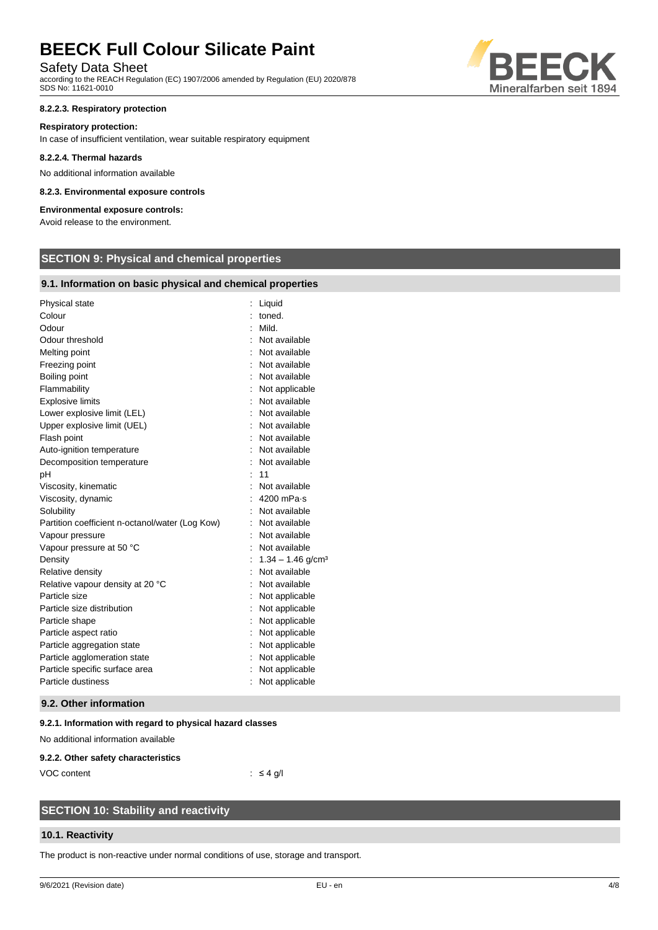## Safety Data Sheet

according to the REACH Regulation (EC) 1907/2006 amended by Regulation (EU) 2020/878 SDS No: 11621-0010

### **8.2.2.3. Respiratory protection**

### **Respiratory protection:**

In case of insufficient ventilation, wear suitable respiratory equipment

#### **8.2.2.4. Thermal hazards**

No additional information available

### **8.2.3. Environmental exposure controls**

## **Environmental exposure controls:**

Avoid release to the environment.

## **SECTION 9: Physical and chemical properties**

## **9.1. Information on basic physical and chemical properties**

| Physical state                                  |   | Liquid                          |
|-------------------------------------------------|---|---------------------------------|
| Colour                                          |   | toned.                          |
| Odour                                           | ۰ | Mild.                           |
| Odour threshold                                 |   | Not available                   |
| Melting point                                   |   | Not available                   |
| Freezing point                                  |   | Not available                   |
| Boiling point                                   |   | Not available                   |
| Flammability                                    |   | Not applicable                  |
| <b>Explosive limits</b>                         |   | Not available                   |
| Lower explosive limit (LEL)                     |   | Not available                   |
| Upper explosive limit (UEL)                     |   | Not available                   |
| Flash point                                     |   | Not available                   |
| Auto-ignition temperature                       |   | Not available                   |
| Decomposition temperature                       |   | Not available                   |
| рH                                              |   | 11                              |
| Viscosity, kinematic                            |   | Not available                   |
| Viscosity, dynamic                              |   | $4200$ mPa $\cdot$ s            |
| Solubility                                      |   | Not available                   |
| Partition coefficient n-octanol/water (Log Kow) |   | Not available                   |
| Vapour pressure                                 |   | Not available                   |
| Vapour pressure at 50 °C                        |   | Not available                   |
| Density                                         |   | $1.34 - 1.46$ g/cm <sup>3</sup> |
| Relative density                                |   | Not available                   |
| Relative vapour density at 20 °C                |   | Not available                   |
| Particle size                                   |   | Not applicable                  |
| Particle size distribution                      |   | Not applicable                  |
| Particle shape                                  |   | Not applicable                  |
| Particle aspect ratio                           |   | Not applicable                  |
| Particle aggregation state                      |   | Not applicable                  |
| Particle agglomeration state                    |   | Not applicable                  |
| Particle specific surface area                  |   | Not applicable                  |
| Particle dustiness                              |   | Not applicable                  |
|                                                 |   |                                 |

#### **9.2. Other information**

#### **9.2.1. Information with regard to physical hazard classes**

No additional information available

#### **9.2.2. Other safety characteristics**

VOC content : ≤ 4 g/l

## **SECTION 10: Stability and reactivity**

## **10.1. Reactivity**

The product is non-reactive under normal conditions of use, storage and transport.

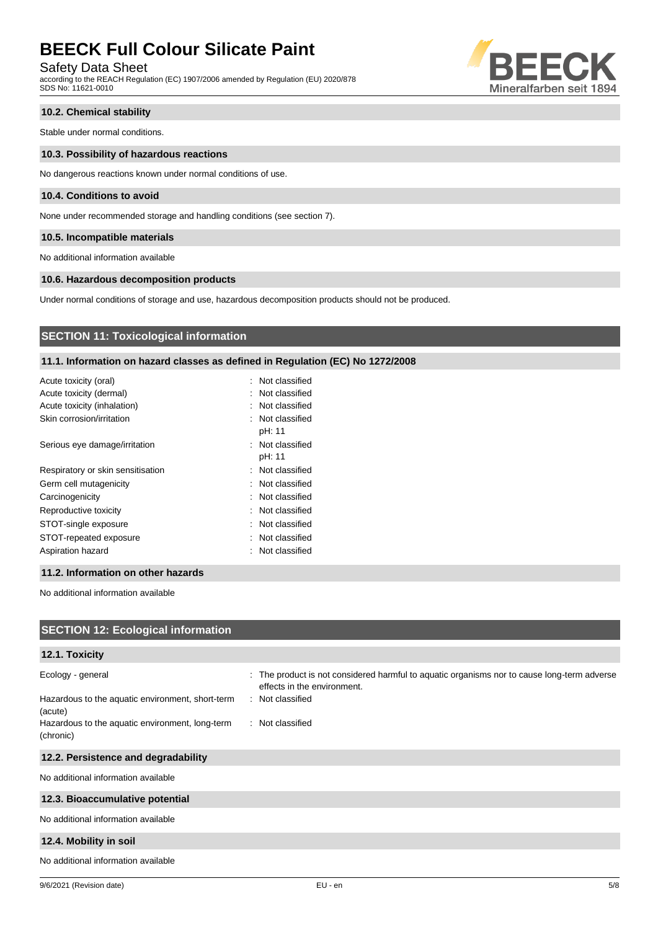Safety Data Sheet

according to the REACH Regulation (EC) 1907/2006 amended by Regulation (EU) 2020/878 SDS No: 11621-0010



## **10.2. Chemical stability**

Stable under normal conditions.

#### **10.3. Possibility of hazardous reactions**

No dangerous reactions known under normal conditions of use.

### **10.4. Conditions to avoid**

None under recommended storage and handling conditions (see section 7).

## **10.5. Incompatible materials**

No additional information available

## **10.6. Hazardous decomposition products**

Under normal conditions of storage and use, hazardous decomposition products should not be produced.

## **SECTION 11: Toxicological information**

## **11.1. Information on hazard classes as defined in Regulation (EC) No 1272/2008**

| Acute toxicity (oral)             | : Not classified           |
|-----------------------------------|----------------------------|
| Acute toxicity (dermal)           | : Not classified           |
| Acute toxicity (inhalation)       | : Not classified           |
| Skin corrosion/irritation         | : Not classified<br>pH: 11 |
| Serious eye damage/irritation     | : Not classified<br>pH: 11 |
| Respiratory or skin sensitisation | : Not classified           |
| Germ cell mutagenicity            | : Not classified           |
| Carcinogenicity                   | : Not classified           |
| Reproductive toxicity             | : Not classified           |
| STOT-single exposure              | Not classified             |
| STOT-repeated exposure            | : Not classified           |
| Aspiration hazard                 | : Not classified           |
|                                   |                            |

## **11.2. Information on other hazards**

No additional information available

| <b>SECTION 12: Ecological information</b>                                        |                                                                                                                                                |
|----------------------------------------------------------------------------------|------------------------------------------------------------------------------------------------------------------------------------------------|
| 12.1. Toxicity                                                                   |                                                                                                                                                |
| Ecology - general<br>Hazardous to the aquatic environment, short-term<br>(acute) | : The product is not considered harmful to aquatic organisms nor to cause long-term adverse<br>effects in the environment.<br>: Not classified |
| Hazardous to the aquatic environment, long-term<br>(chronic)                     | : Not classified                                                                                                                               |
| 12.2. Persistence and degradability                                              |                                                                                                                                                |
| No additional information available                                              |                                                                                                                                                |
| 12.3. Bioaccumulative potential                                                  |                                                                                                                                                |
| No additional information available                                              |                                                                                                                                                |
| 12.4. Mobility in soil                                                           |                                                                                                                                                |
| No additional information available                                              |                                                                                                                                                |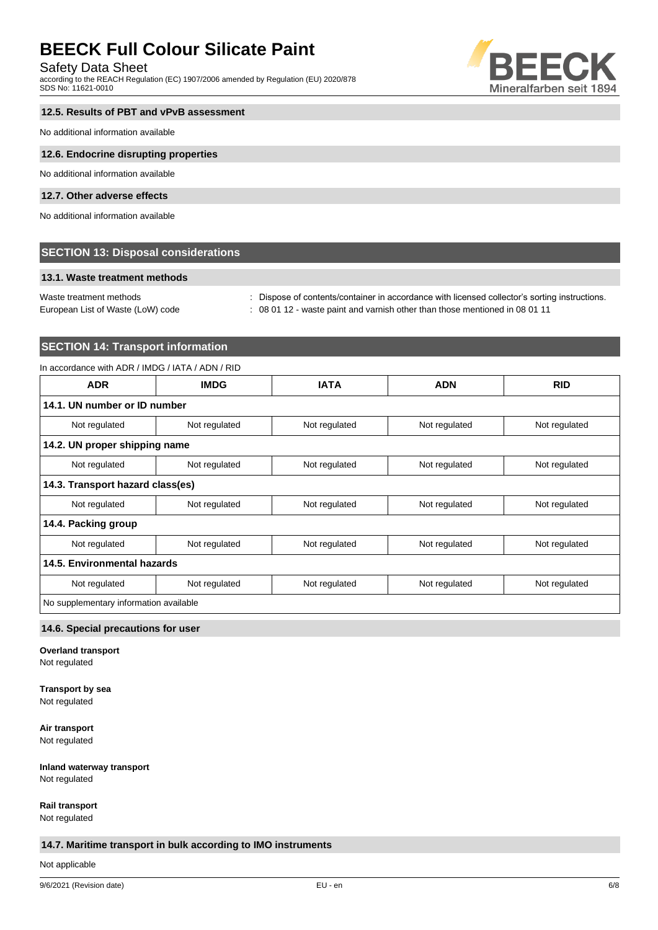## Safety Data Sheet

according to the REACH Regulation (EC) 1907/2006 amended by Regulation (EU) 2020/878 SDS No: 11621-0010



## **12.5. Results of PBT and vPvB assessment**

No additional information available

#### **12.6. Endocrine disrupting properties**

No additional information available

## **12.7. Other adverse effects**

No additional information available

## **SECTION 13: Disposal considerations**

## **13.1. Waste treatment methods**

Waste treatment methods : Dispose of contents/container in accordance with licensed collector's sorting instructions.

European List of Waste (LoW) code : 08 01 12 - waste paint and varnish other than those mentioned in 08 01 11

## **SECTION 14: Transport information**

## In accordance with ADR / IMDG / IATA / ADN / RID

| <b>ADR</b>                             | <b>IMDG</b>   | <b>IATA</b>   | <b>ADN</b>    | <b>RID</b>    |
|----------------------------------------|---------------|---------------|---------------|---------------|
| 14.1. UN number or ID number           |               |               |               |               |
| Not regulated                          | Not regulated | Not regulated | Not regulated | Not regulated |
| 14.2. UN proper shipping name          |               |               |               |               |
| Not regulated                          | Not regulated | Not regulated | Not regulated | Not regulated |
| 14.3. Transport hazard class(es)       |               |               |               |               |
| Not regulated                          | Not regulated | Not regulated | Not regulated | Not regulated |
| 14.4. Packing group                    |               |               |               |               |
| Not regulated                          | Not regulated | Not regulated | Not regulated | Not regulated |
| 14.5. Environmental hazards            |               |               |               |               |
| Not regulated                          | Not regulated | Not regulated | Not regulated | Not regulated |
| No supplementary information available |               |               |               |               |

#### **14.6. Special precautions for user**

**Overland transport**

Not regulated

## **Transport by sea**

Not regulated

**Air transport**

Not regulated

## **Inland waterway transport**

Not regulated

## **Rail transport**

Not regulated

## **14.7. Maritime transport in bulk according to IMO instruments**

Not applicable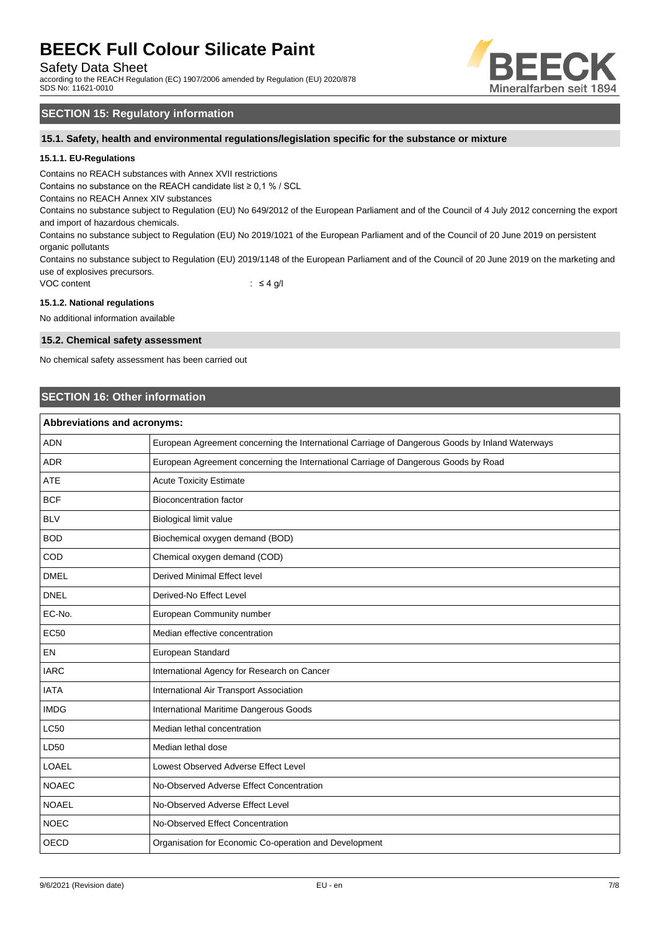Safety Data Sheet

according to the REACH Regulation (EC) 1907/2006 amended by Regulation (EU) 2020/878 SDS No: 11621-0010



## **SECTION 15: Regulatory information**

## **15.1. Safety, health and environmental regulations/legislation specific for the substance or mixture**

## **15.1.1. EU-Regulations**

Contains no REACH substances with Annex XVII restrictions

Contains no substance on the REACH candidate list ≥ 0,1 % / SCL

Contains no REACH Annex XIV substances

Contains no substance subject to Regulation (EU) No 649/2012 of the European Parliament and of the Council of 4 July 2012 concerning the export and import of hazardous chemicals.

Contains no substance subject to Regulation (EU) No 2019/1021 of the European Parliament and of the Council of 20 June 2019 on persistent organic pollutants

Contains no substance subject to Regulation (EU) 2019/1148 of the European Parliament and of the Council of 20 June 2019 on the marketing and use of explosives precursors.

VOC content  $\qquad \qquad : \leq 4 \text{ g/l}$ 

#### **15.1.2. National regulations**

No additional information available

#### **15.2. Chemical safety assessment**

No chemical safety assessment has been carried out

## **SECTION 16: Other information**

| <b>Abbreviations and acronyms:</b> |                                                                                                 |  |
|------------------------------------|-------------------------------------------------------------------------------------------------|--|
| <b>ADN</b>                         | European Agreement concerning the International Carriage of Dangerous Goods by Inland Waterways |  |
| <b>ADR</b>                         | European Agreement concerning the International Carriage of Dangerous Goods by Road             |  |
| <b>ATE</b>                         | <b>Acute Toxicity Estimate</b>                                                                  |  |
| <b>BCF</b>                         | <b>Bioconcentration factor</b>                                                                  |  |
| <b>BLV</b>                         | Biological limit value                                                                          |  |
| <b>BOD</b>                         | Biochemical oxygen demand (BOD)                                                                 |  |
| COD                                | Chemical oxygen demand (COD)                                                                    |  |
| <b>DMEL</b>                        | Derived Minimal Effect level                                                                    |  |
| <b>DNEL</b>                        | Derived-No Effect Level                                                                         |  |
| EC-No.                             | European Community number                                                                       |  |
| <b>EC50</b>                        | Median effective concentration                                                                  |  |
| EN                                 | European Standard                                                                               |  |
| <b>IARC</b>                        | International Agency for Research on Cancer                                                     |  |
| <b>IATA</b>                        | International Air Transport Association                                                         |  |
| <b>IMDG</b>                        | International Maritime Dangerous Goods                                                          |  |
| <b>LC50</b>                        | Median lethal concentration                                                                     |  |
| LD50                               | Median lethal dose                                                                              |  |
| <b>LOAEL</b>                       | Lowest Observed Adverse Effect Level                                                            |  |
| <b>NOAEC</b>                       | No-Observed Adverse Effect Concentration                                                        |  |
| <b>NOAEL</b>                       | No-Observed Adverse Effect Level                                                                |  |
| <b>NOEC</b>                        | No-Observed Effect Concentration                                                                |  |
| <b>OECD</b>                        | Organisation for Economic Co-operation and Development                                          |  |